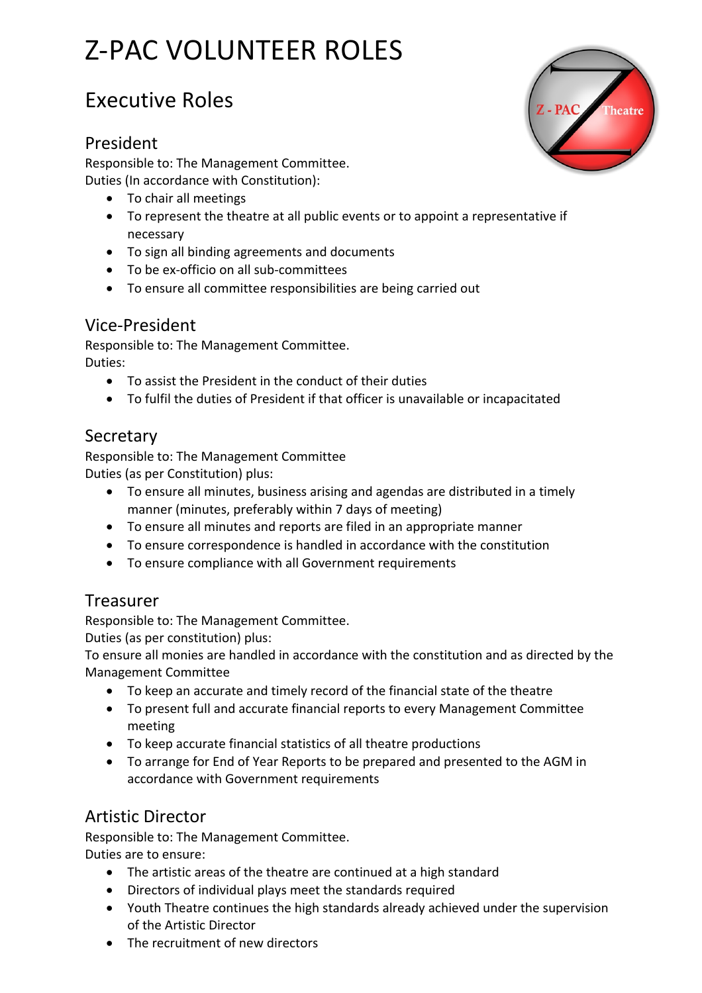# Z-PAC VOLUNTEER ROLES

# Executive Roles

#### President

Responsible to: The Management Committee. Duties (In accordance with Constitution):

- To chair all meetings
- To represent the theatre at all public events or to appoint a representative if necessary
- To sign all binding agreements and documents
- To be ex-officio on all sub-committees
- To ensure all committee responsibilities are being carried out

# Vice-President

Responsible to: The Management Committee. Duties:

- To assist the President in the conduct of their duties
- To fulfil the duties of President if that officer is unavailable or incapacitated

#### **Secretary**

Responsible to: The Management Committee Duties (as per Constitution) plus:

- To ensure all minutes, business arising and agendas are distributed in a timely manner (minutes, preferably within 7 days of meeting)
- To ensure all minutes and reports are filed in an appropriate manner
- To ensure correspondence is handled in accordance with the constitution
- To ensure compliance with all Government requirements

#### Treasurer

Responsible to: The Management Committee.

Duties (as per constitution) plus:

To ensure all monies are handled in accordance with the constitution and as directed by the Management Committee

- To keep an accurate and timely record of the financial state of the theatre
- To present full and accurate financial reports to every Management Committee meeting
- To keep accurate financial statistics of all theatre productions
- To arrange for End of Year Reports to be prepared and presented to the AGM in accordance with Government requirements

# Artistic Director

Responsible to: The Management Committee. Duties are to ensure:

- The artistic areas of the theatre are continued at a high standard
- Directors of individual plays meet the standards required
- Youth Theatre continues the high standards already achieved under the supervision of the Artistic Director
- The recruitment of new directors

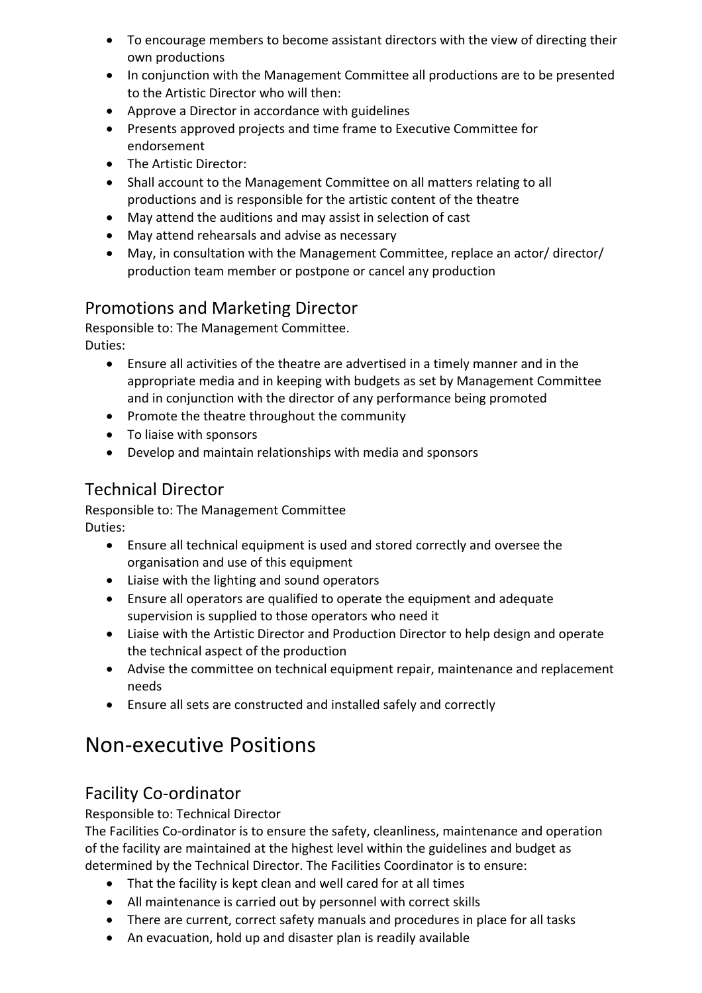- To encourage members to become assistant directors with the view of directing their own productions
- In conjunction with the Management Committee all productions are to be presented to the Artistic Director who will then:
- Approve a Director in accordance with guidelines
- Presents approved projects and time frame to Executive Committee for endorsement
- The Artistic Director:
- Shall account to the Management Committee on all matters relating to all productions and is responsible for the artistic content of the theatre
- May attend the auditions and may assist in selection of cast
- May attend rehearsals and advise as necessary
- May, in consultation with the Management Committee, replace an actor/ director/ production team member or postpone or cancel any production

#### Promotions and Marketing Director

Responsible to: The Management Committee. Duties:

- Ensure all activities of the theatre are advertised in a timely manner and in the appropriate media and in keeping with budgets as set by Management Committee and in conjunction with the director of any performance being promoted
- Promote the theatre throughout the community
- To liaise with sponsors
- Develop and maintain relationships with media and sponsors

# Technical Director

Responsible to: The Management Committee Duties:

- Ensure all technical equipment is used and stored correctly and oversee the organisation and use of this equipment
- Liaise with the lighting and sound operators
- Ensure all operators are qualified to operate the equipment and adequate supervision is supplied to those operators who need it
- Liaise with the Artistic Director and Production Director to help design and operate the technical aspect of the production
- Advise the committee on technical equipment repair, maintenance and replacement needs
- Ensure all sets are constructed and installed safely and correctly

# Non-executive Positions

# Facility Co-ordinator

Responsible to: Technical Director

The Facilities Co-ordinator is to ensure the safety, cleanliness, maintenance and operation of the facility are maintained at the highest level within the guidelines and budget as determined by the Technical Director. The Facilities Coordinator is to ensure:

- That the facility is kept clean and well cared for at all times
- All maintenance is carried out by personnel with correct skills
- There are current, correct safety manuals and procedures in place for all tasks
- An evacuation, hold up and disaster plan is readily available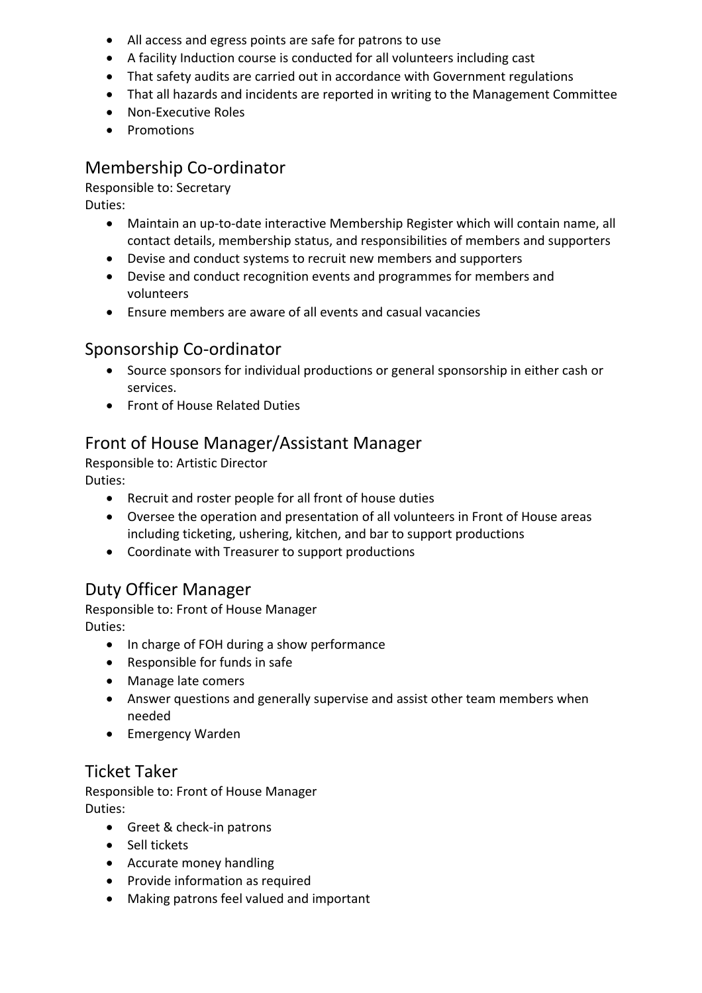- All access and egress points are safe for patrons to use
- A facility Induction course is conducted for all volunteers including cast
- That safety audits are carried out in accordance with Government regulations
- That all hazards and incidents are reported in writing to the Management Committee
- Non-Executive Roles
- Promotions

# Membership Co-ordinator

Responsible to: Secretary

Duties:

- Maintain an up-to-date interactive Membership Register which will contain name, all contact details, membership status, and responsibilities of members and supporters
- Devise and conduct systems to recruit new members and supporters
- Devise and conduct recognition events and programmes for members and volunteers
- Ensure members are aware of all events and casual vacancies

# Sponsorship Co-ordinator

- Source sponsors for individual productions or general sponsorship in either cash or services.
- Front of House Related Duties

# Front of House Manager/Assistant Manager

Responsible to: Artistic Director Duties:

- Recruit and roster people for all front of house duties
- Oversee the operation and presentation of all volunteers in Front of House areas including ticketing, ushering, kitchen, and bar to support productions
- Coordinate with Treasurer to support productions

# Duty Officer Manager

Responsible to: Front of House Manager Duties:

- In charge of FOH during a show performance
- Responsible for funds in safe
- Manage late comers
- Answer questions and generally supervise and assist other team members when needed
- Emergency Warden

# Ticket Taker

Responsible to: Front of House Manager Duties:

- Greet & check-in patrons
- Sell tickets
- Accurate money handling
- Provide information as required
- Making patrons feel valued and important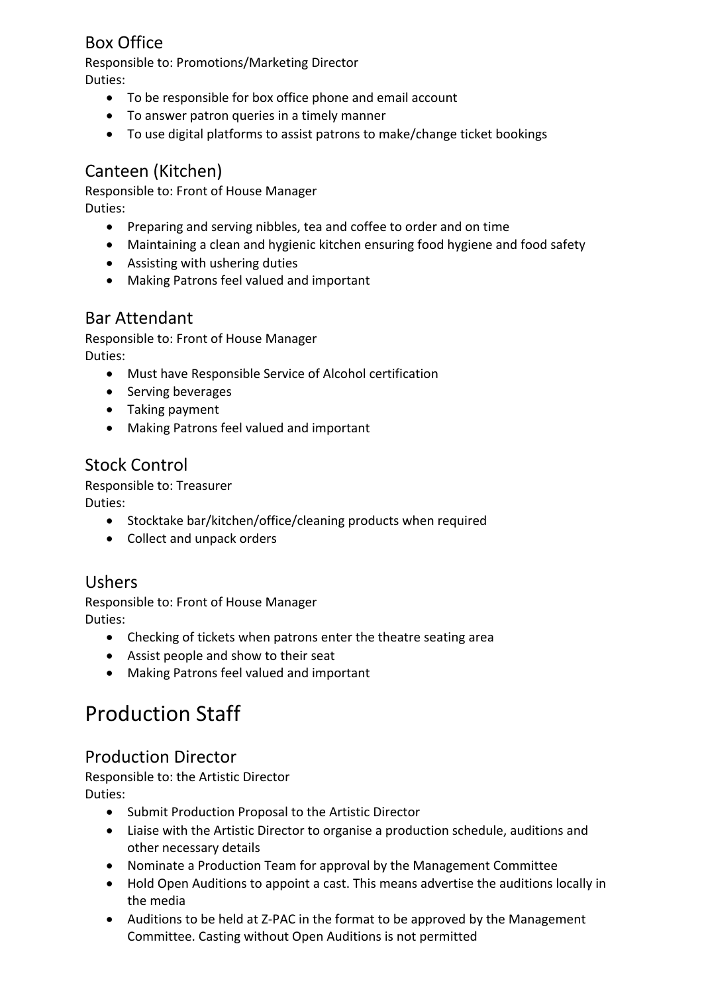# Box Office

Responsible to: Promotions/Marketing Director Duties:

- To be responsible for box office phone and email account
- To answer patron queries in a timely manner
- To use digital platforms to assist patrons to make/change ticket bookings

# Canteen (Kitchen)

Responsible to: Front of House Manager Duties:

- Preparing and serving nibbles, tea and coffee to order and on time
- Maintaining a clean and hygienic kitchen ensuring food hygiene and food safety
- Assisting with ushering duties
- Making Patrons feel valued and important

# Bar Attendant

Responsible to: Front of House Manager Duties:

- Must have Responsible Service of Alcohol certification
- Serving beverages
- Taking payment
- Making Patrons feel valued and important

# Stock Control

Responsible to: Treasurer Duties:

- Stocktake bar/kitchen/office/cleaning products when required
- Collect and unpack orders

# Ushers

Responsible to: Front of House Manager Duties:

- Checking of tickets when patrons enter the theatre seating area
- Assist people and show to their seat
- Making Patrons feel valued and important

# Production Staff

# Production Director

Responsible to: the Artistic Director Duties:

- Submit Production Proposal to the Artistic Director
- Liaise with the Artistic Director to organise a production schedule, auditions and other necessary details
- Nominate a Production Team for approval by the Management Committee
- Hold Open Auditions to appoint a cast. This means advertise the auditions locally in the media
- Auditions to be held at Z-PAC in the format to be approved by the Management Committee. Casting without Open Auditions is not permitted